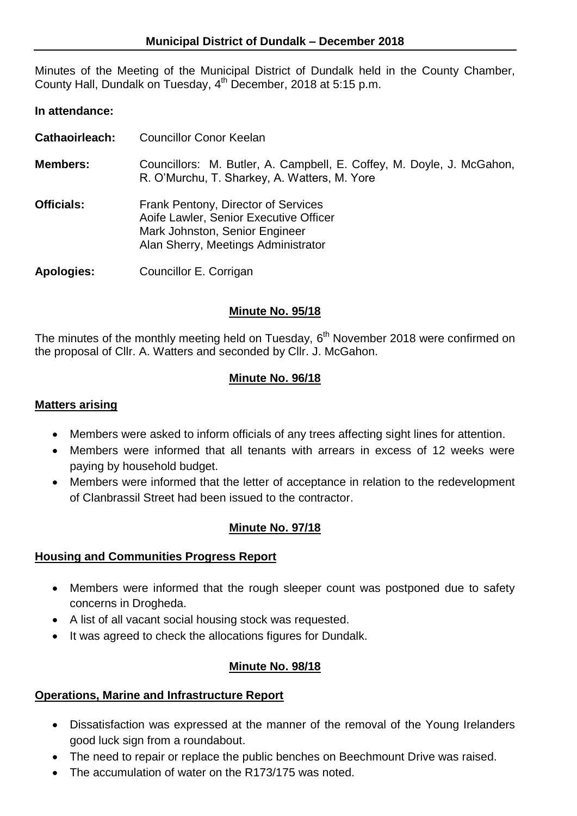Minutes of the Meeting of the Municipal District of Dundalk held in the County Chamber, County Hall, Dundalk on Tuesday, 4<sup>th</sup> December, 2018 at 5:15 p.m.

# **In attendance:**

- **Cathaoirleach:** Councillor Conor Keelan
- **Members:** Councillors: M. Butler, A. Campbell, E. Coffey, M. Doyle, J. McGahon, R. O'Murchu, T. Sharkey, A. Watters, M. Yore
- **Officials:** Frank Pentony, Director of Services Aoife Lawler, Senior Executive Officer Mark Johnston, Senior Engineer Alan Sherry, Meetings Administrator

**Apologies:** Councillor E. Corrigan

## **Minute No. 95/18**

The minutes of the monthly meeting held on Tuesday,  $6<sup>th</sup>$  November 2018 were confirmed on the proposal of Cllr. A. Watters and seconded by Cllr. J. McGahon.

# **Minute No. 96/18**

### **Matters arising**

- Members were asked to inform officials of any trees affecting sight lines for attention.
- Members were informed that all tenants with arrears in excess of 12 weeks were paying by household budget.
- Members were informed that the letter of acceptance in relation to the redevelopment of Clanbrassil Street had been issued to the contractor.

# **Minute No. 97/18**

### **Housing and Communities Progress Report**

- Members were informed that the rough sleeper count was postponed due to safety concerns in Drogheda.
- A list of all vacant social housing stock was requested.
- It was agreed to check the allocations figures for Dundalk.

### **Minute No. 98/18**

### **Operations, Marine and Infrastructure Report**

- Dissatisfaction was expressed at the manner of the removal of the Young Irelanders good luck sign from a roundabout.
- The need to repair or replace the public benches on Beechmount Drive was raised.
- The accumulation of water on the R173/175 was noted.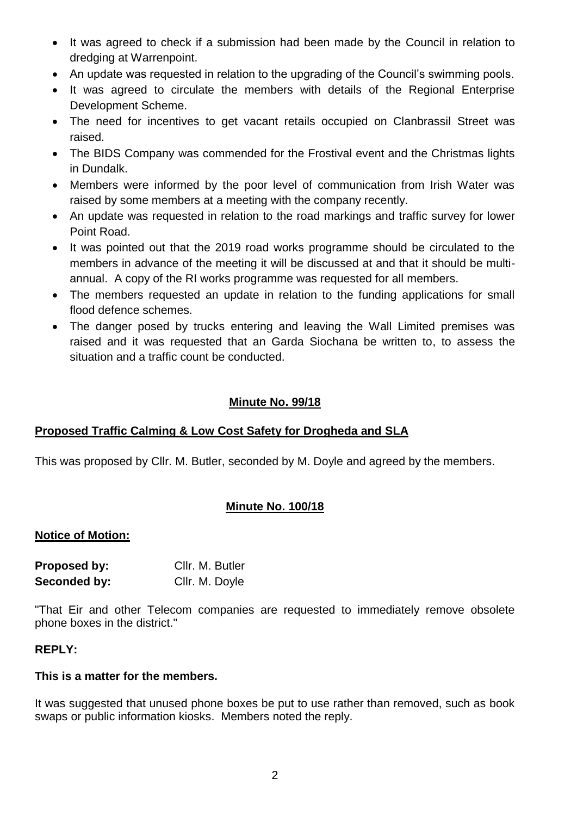- It was agreed to check if a submission had been made by the Council in relation to dredging at Warrenpoint.
- An update was requested in relation to the upgrading of the Council's swimming pools.
- It was agreed to circulate the members with details of the Regional Enterprise Development Scheme.
- The need for incentives to get vacant retails occupied on Clanbrassil Street was raised.
- The BIDS Company was commended for the Frostival event and the Christmas lights in Dundalk.
- Members were informed by the poor level of communication from Irish Water was raised by some members at a meeting with the company recently.
- An update was requested in relation to the road markings and traffic survey for lower Point Road.
- It was pointed out that the 2019 road works programme should be circulated to the members in advance of the meeting it will be discussed at and that it should be multiannual. A copy of the RI works programme was requested for all members.
- The members requested an update in relation to the funding applications for small flood defence schemes.
- The danger posed by trucks entering and leaving the Wall Limited premises was raised and it was requested that an Garda Siochana be written to, to assess the situation and a traffic count be conducted.

# **Minute No. 99/18**

# **Proposed Traffic Calming & Low Cost Safety for Drogheda and SLA**

This was proposed by Cllr. M. Butler, seconded by M. Doyle and agreed by the members.

# **Minute No. 100/18**

# **Notice of Motion:**

| Proposed by: | Cllr. M. Butler |
|--------------|-----------------|
| Seconded by: | Cllr. M. Doyle  |

"That Eir and other Telecom companies are requested to immediately remove obsolete phone boxes in the district."

# **REPLY:**

# **This is a matter for the members.**

It was suggested that unused phone boxes be put to use rather than removed, such as book swaps or public information kiosks. Members noted the reply.